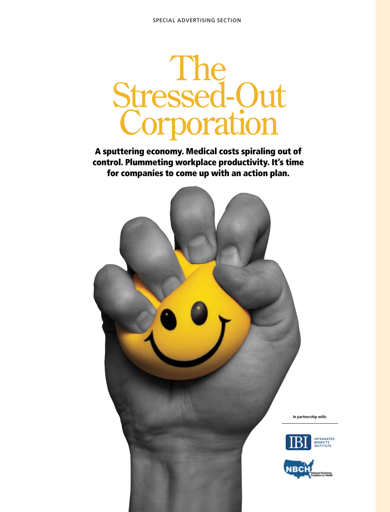

A sputtering economy. Medical costs spiraling out of control. Plummeting workplace productivity. It's time for companies to come up with an action plan.

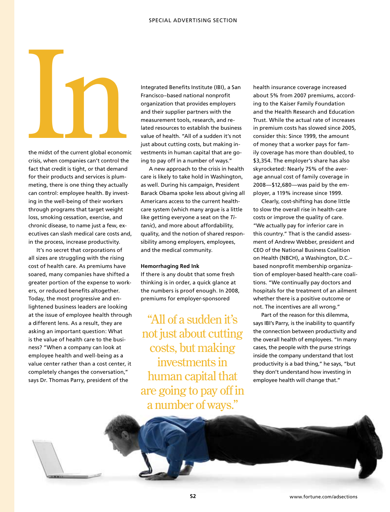the midst of the current global economic<br>
risis, when companies can't control the

the midst of the current global economic crisis, when companies can't control the fact that credit is tight, or that demand for their products and services is plummeting, there is one thing they actually can control: employee health. By investing in the well-being of their workers through programs that target weight loss, smoking cessation, exercise, and chronic disease, to name just a few, executives can slash medical care costs and, in the process, increase productivity.

It's no secret that corporations of all sizes are struggling with the rising cost of health care. As premiums have soared, many companies have shifted a greater portion of the expense to workers, or reduced benefits altogether. Today, the most progressive and enlightened business leaders are looking at the issue of employee health through a different lens. As a result, they are asking an important question: What is the value of health care to the business? "When a company can look at employee health and well-being as a value center rather than a cost center, it completely changes the conversation," says Dr. Thomas Parry, president of the

Integrated Benefits Institute (IBI), a San Francisco–based national nonprofit organization that provides employers and their supplier partners with the measurement tools, research, and related resources to establish the business value of health. "All of a sudden it's not just about cutting costs, but making investments in human capital that are going to pay off in a number of ways."

A new approach to the crisis in health care is likely to take hold in Washington, as well. During his campaign, President Barack Obama spoke less about giving all Americans access to the current healthcare system (which many argue is a little like getting everyone a seat on the *Titanic*), and more about affordability, quality, and the notion of shared responsibility among employers, employees, and the medical community.

#### **Hemorrhaging Red Ink**

If there is any doubt that some fresh thinking is in order, a quick glance at the numbers is proof enough. In 2008, premiums for employer-sponsored

"All of a sudden it's not just about cutting costs, but making investments in human capital that are going to pay off in a number of ways."

health insurance coverage increased about 5% from 2007 premiums, according to the Kaiser Family Foundation and the Health Research and Education Trust. While the actual rate of increases in premium costs has slowed since 2005, consider this: Since 1999, the amount of money that a worker pays for family coverage has more than doubled, to \$3,354. The employer's share has also skyrocketed: Nearly 75% of the average annual cost of family coverage in 2008—\$12,680—was paid by the employer, a 119% increase since 1999.

Clearly, cost-shifting has done little to slow the overall rise in health-care costs or improve the quality of care. "We actually pay for inferior care in this country." That is the candid assessment of Andrew Webber, president and CEO of the National Business Coalition on Health (NBCH), a Washington, D.C.– based nonprofit membership organization of employer-based health-care coalitions. "We continually pay doctors and hospitals for the treatment of an ailment whether there is a positive outcome or not. The incentives are all wrong."

Part of the reason for this dilemma, says IBI's Parry, is the inability to quantify the connection between productivity and the overall health of employees. "In many cases, the people with the purse strings inside the company understand that lost productivity is a bad thing," he says, "but they don't understand how investing in employee health will change that."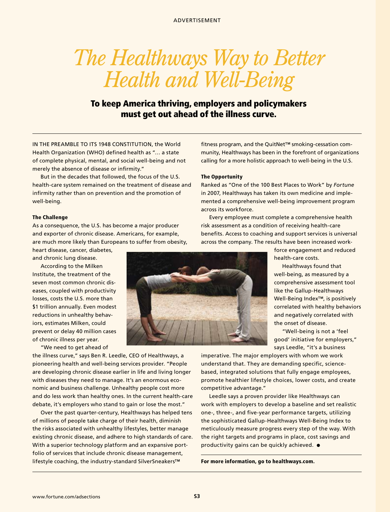# *The Healthways Way to Better Health and Well-Being*

# To keep America thriving, employers and policymakers must get out ahead of the illness curve.

IN THE PREAMBLE TO ITS 1948 CONSTITUTION, the World Health Organization (WHO) defined health as "… a state of complete physical, mental, and social well-being and not merely the absence of disease or infirmity."

But in the decades that followed, the focus of the U.S. health-care system remained on the treatment of disease and infirmity rather than on prevention and the promotion of well-being.

#### The Challenge

As a consequence, the U.S. has become a major producer and exporter of chronic disease. Americans, for example, are much more likely than Europeans to suffer from obesity,

heart disease, cancer, diabetes, and chronic lung disease.

According to the Milken Institute, the treatment of the seven most common chronic diseases, coupled with productivity losses, costs the U.S. more than \$1 trillion annually. Even modest reductions in unhealthy behaviors, estimates Milken, could prevent or delay 40 million cases of chronic illness per year.

"We need to get ahead of

the illness curve," says Ben R. Leedle, CEO of Healthways, a pioneering health and well-being services provider. "People are developing chronic disease earlier in life and living longer with diseases they need to manage. It's an enormous economic and business challenge. Unhealthy people cost more and do less work than healthy ones. In the current health-care debate, it's employers who stand to gain or lose the most."

Over the past quarter-century, Healthways has helped tens of millions of people take charge of their health, diminish the risks associated with unhealthy lifestyles, better manage existing chronic disease, and adhere to high standards of care. With a superior technology platform and an expansive portfolio of services that include chronic disease management, lifestyle coaching, the industry-standard SilverSneakers™

fitness program, and the QuitNet™ smoking-cessation community, Healthways has been in the forefront of organizations calling for a more holistic approach to well-being in the U.S.

### The Opportunity

Ranked as "One of the 100 Best Places to Work" by *Fortune* in 2007, Healthways has taken its own medicine and implemented a comprehensive well-being improvement program across its workforce.

Every employee must complete a comprehensive health risk assessment as a condition of receiving health-care benefits. Access to coaching and support services is universal across the company. The results have been increased work-

> force engagement and reduced health-care costs.

Healthways found that well-being, as measured by a comprehensive assessment tool like the Gallup-Healthways Well-Being Index™, is positively correlated with healthy behaviors and negatively correlated with the onset of disease.

"Well-being is not a 'feel good' initiative for employers," says Leedle, "it's a business

imperative. The major employers with whom we work understand that. They are demanding specific, sciencebased, integrated solutions that fully engage employees, promote healthier lifestyle choices, lower costs, and create competitive advantage."

Leedle says a proven provider like Healthways can work with employers to develop a baseline and set realistic one-, three-, and five-year performance targets, utilizing the sophisticated Gallup-Healthways Well-Being Index to meticulously measure progress every step of the way. With the right targets and programs in place, cost savings and productivity gains can be quickly achieved.  $\bullet$ 

For more information, go to healthways.com.

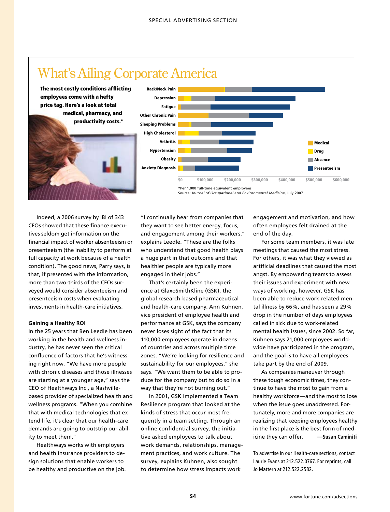

Indeed, a 2006 survey by IBI of 343 CFOs showed that these finance executives seldom get information on the financial impact of worker absenteeism or presenteeism (the inability to perform at full capacity at work because of a health condition). The good news, Parry says, is that, if presented with the information, more than two-thirds of the CFOs surveyed would consider absenteeism and presenteeism costs when evaluating investments in health-care initiatives.

## **Gaining a Healthy ROI**

In the 25 years that Ben Leedle has been working in the health and wellness industry, he has never seen the critical confluence of factors that he's witnessing right now. "We have more people with chronic diseases and those illnesses are starting at a younger age," says the CEO of Healthways Inc., a Nashvillebased provider of specialized health and wellness programs. "When you combine that with medical technologies that extend life, it's clear that our health-care demands are going to outstrip our ability to meet them."

Healthways works with employers and health insurance providers to design solutions that enable workers to be healthy and productive on the job. "I continually hear from companies that they want to see better energy, focus, and engagement among their workers," explains Leedle. "These are the folks who understand that good health plays a huge part in that outcome and that healthier people are typically more engaged in their jobs."

That's certainly been the experience at GlaxoSmithKline (GSK), the global research-based pharmaceutical and health-care company. Ann Kuhnen, vice president of employee health and performance at GSK, says the company never loses sight of the fact that its 110,000 employees operate in dozens of countries and across multiple time zones. "We're looking for resilience and sustainability for our employees," she says. "We want them to be able to produce for the company but to do so in a way that they're not burning out."

In 2001, GSK implemented a Team Resilience program that looked at the kinds of stress that occur most frequently in a team setting. Through an online confidential survey, the initiative asked employees to talk about work demands, relationships, management practices, and work culture. The survey, explains Kuhnen, also sought to determine how stress impacts work

engagement and motivation, and how often employees felt drained at the end of the day.

For some team members, it was late meetings that caused the most stress. For others, it was what they viewed as artificial deadlines that caused the most angst. By empowering teams to assess their issues and experiment with new ways of working, however, GSK has been able to reduce work-related mental illness by 66%, and has seen a 29% drop in the number of days employees called in sick due to work-related mental health issues, since 2002. So far, Kuhnen says 21,000 employees worldwide have participated in the program, and the goal is to have all employees take part by the end of 2009.

As companies maneuver through these tough economic times, they continue to have the most to gain from a healthy workforce—and the most to lose when the issue goes unaddressed. Fortunately, more and more companies are realizing that keeping employees healthy in the first place is the best form of medicine they can offer. **—Susan Caminiti**

To advertise in our Health-care sections, contact Laurie Evans at 212.522.0767. For reprints, call Jo Mattern at 212.522.2582.